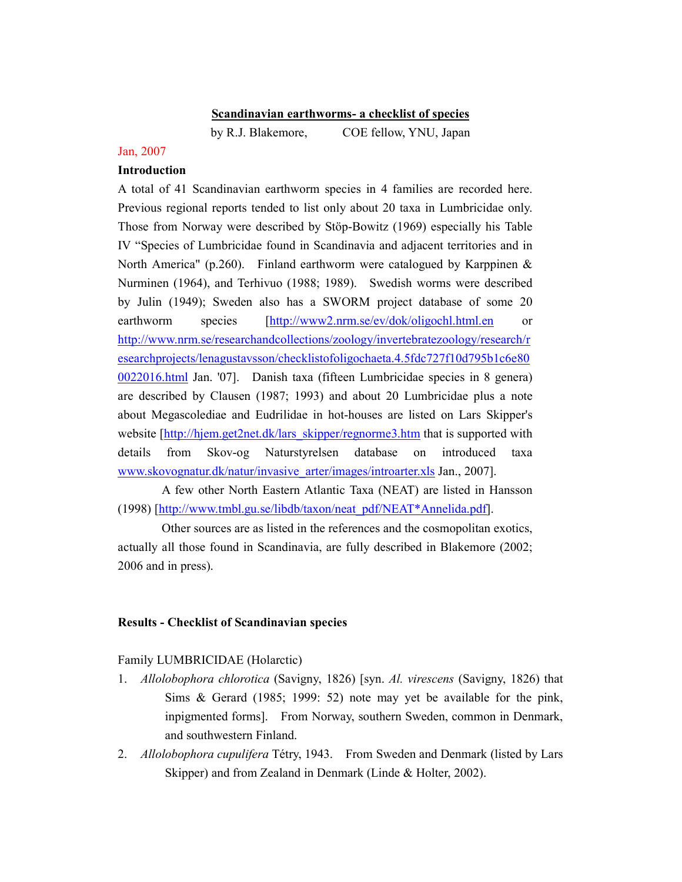#### Scandinavian earthworms- a checklist of species

by R.J. Blakemore, COE fellow, YNU, Japan

#### Jan, 2007

### Introduction

A total of 41 Scandinavian earthworm species in 4 families are recorded here. Previous regional reports tended to list only about 20 taxa in Lumbricidae only. Those from Norway were described by Stöp-Bowitz (1969) especially his Table IV "Species of Lumbricidae found in Scandinavia and adjacent territories and in North America" (p.260). Finland earthworm were catalogued by Karppinen  $\&$ Nurminen (1964), and Terhivuo (1988; 1989). Swedish worms were described by Julin (1949); Sweden also has a SWORM project database of some 20 earthworm species [http://www2.nrm.se/ev/dok/oligochl.html.en or http://www.nrm.se/researchandcollections/zoology/invertebratezoology/research/r esearchprojects/lenagustavsson/checklistofoligochaeta.4.5fdc727f10d795b1c6e80 0022016.html Jan. '07]. Danish taxa (fifteen Lumbricidae species in 8 genera) are described by Clausen (1987; 1993) and about 20 Lumbricidae plus a note about Megascolediae and Eudrilidae in hot-houses are listed on Lars Skipper's website [http://hjem.get2net.dk/lars\_skipper/regnorme3.htm that is supported with details from Skov-og Naturstyrelsen database on introduced taxa www.skovognatur.dk/natur/invasive\_arter/images/introarter.xls Jan., 2007].

A few other North Eastern Atlantic Taxa (NEAT) are listed in Hansson (1998) [http://www.tmbl.gu.se/libdb/taxon/neat\_pdf/NEAT\*Annelida.pdf].

Other sources are as listed in the references and the cosmopolitan exotics, actually all those found in Scandinavia, are fully described in Blakemore (2002; 2006 and in press).

### Results - Checklist of Scandinavian species

#### Family LUMBRICIDAE (Holarctic)

- 1. Allolobophora chlorotica (Savigny, 1826) [syn. Al. virescens (Savigny, 1826) that Sims & Gerard (1985; 1999: 52) note may yet be available for the pink, inpigmented forms]. From Norway, southern Sweden, common in Denmark, and southwestern Finland.
- 2. Allolobophora cupulifera Tétry, 1943. From Sweden and Denmark (listed by Lars Skipper) and from Zealand in Denmark (Linde & Holter, 2002).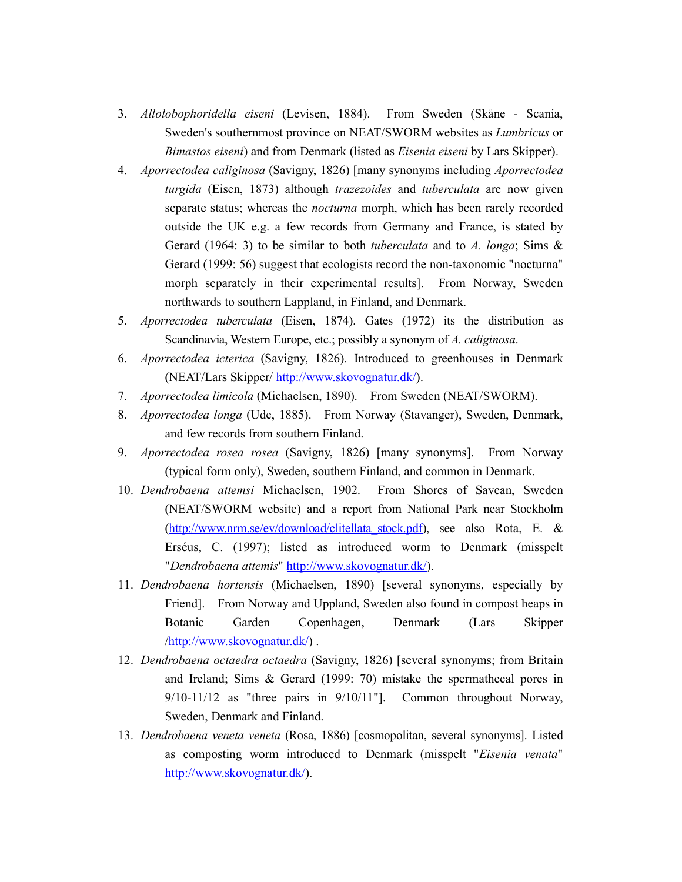- 3. Allolobophoridella eiseni (Levisen, 1884). From Sweden (Skåne Scania, Sweden's southernmost province on NEAT/SWORM websites as Lumbricus or Bimastos eiseni) and from Denmark (listed as Eisenia eiseni by Lars Skipper).
- 4. Aporrectodea caliginosa (Savigny, 1826) [many synonyms including Aporrectodea turgida (Eisen, 1873) although trazezoides and tuberculata are now given separate status; whereas the *nocturna* morph, which has been rarely recorded outside the UK e.g. a few records from Germany and France, is stated by Gerard (1964: 3) to be similar to both *tuberculata* and to A. longa; Sims  $\&$ Gerard (1999: 56) suggest that ecologists record the non-taxonomic "nocturna" morph separately in their experimental results]. From Norway, Sweden northwards to southern Lappland, in Finland, and Denmark.
- 5. Aporrectodea tuberculata (Eisen, 1874). Gates (1972) its the distribution as Scandinavia, Western Europe, etc.; possibly a synonym of A. caliginosa.
- 6. Aporrectodea icterica (Savigny, 1826). Introduced to greenhouses in Denmark (NEAT/Lars Skipper/ http://www.skovognatur.dk/).
- 7. Aporrectodea limicola (Michaelsen, 1890). From Sweden (NEAT/SWORM).
- 8. Aporrectodea longa (Ude, 1885). From Norway (Stavanger), Sweden, Denmark, and few records from southern Finland.
- 9. Aporrectodea rosea rosea (Savigny, 1826) [many synonyms]. From Norway (typical form only), Sweden, southern Finland, and common in Denmark.
- 10. Dendrobaena attemsi Michaelsen, 1902. From Shores of Savean, Sweden (NEAT/SWORM website) and a report from National Park near Stockholm (http://www.nrm.se/ev/download/clitellata\_stock.pdf), see also Rota, E. & Erséus, C. (1997); listed as introduced worm to Denmark (misspelt "Dendrobaena attemis" http://www.skovognatur.dk/).
- 11. Dendrobaena hortensis (Michaelsen, 1890) [several synonyms, especially by Friend]. From Norway and Uppland, Sweden also found in compost heaps in Botanic Garden Copenhagen, Denmark (Lars Skipper /http://www.skovognatur.dk/) .
- 12. Dendrobaena octaedra octaedra (Savigny, 1826) [several synonyms; from Britain and Ireland; Sims & Gerard (1999: 70) mistake the spermathecal pores in 9/10-11/12 as "three pairs in 9/10/11"]. Common throughout Norway, Sweden, Denmark and Finland.
- 13. Dendrobaena veneta veneta (Rosa, 1886) [cosmopolitan, several synonyms]. Listed as composting worm introduced to Denmark (misspelt "Eisenia venata" http://www.skovognatur.dk/).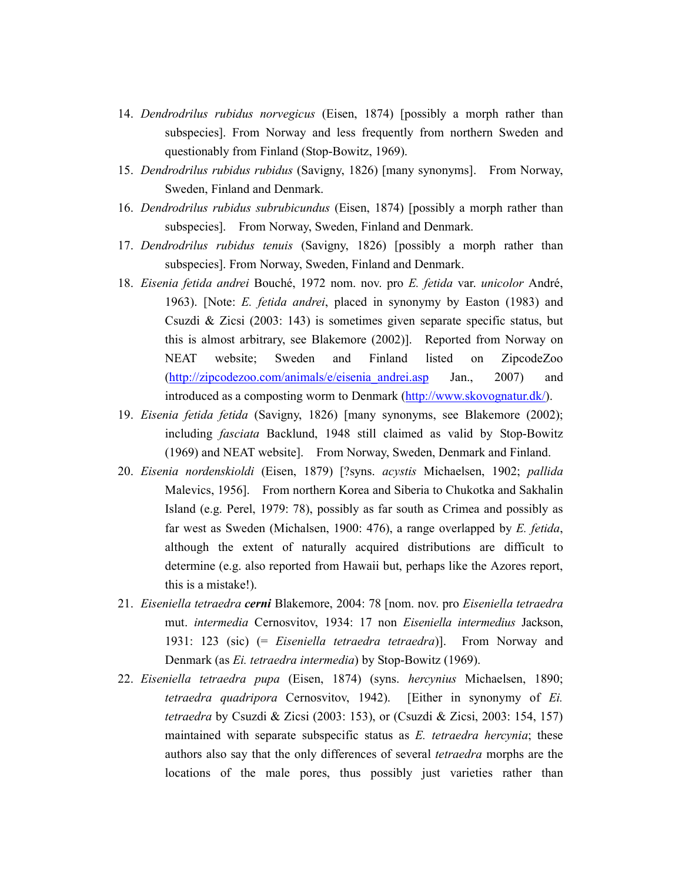- 14. Dendrodrilus rubidus norvegicus (Eisen, 1874) [possibly a morph rather than subspecies]. From Norway and less frequently from northern Sweden and questionably from Finland (Stop-Bowitz, 1969).
- 15. Dendrodrilus rubidus rubidus (Savigny, 1826) [many synonyms]. From Norway, Sweden, Finland and Denmark.
- 16. Dendrodrilus rubidus subrubicundus (Eisen, 1874) [possibly a morph rather than subspecies]. From Norway, Sweden, Finland and Denmark.
- 17. Dendrodrilus rubidus tenuis (Savigny, 1826) [possibly a morph rather than subspecies]. From Norway, Sweden, Finland and Denmark.
- 18. Eisenia fetida andrei Bouché, 1972 nom. nov. pro E. fetida var. unicolor André, 1963). [Note: E. fetida andrei, placed in synonymy by Easton (1983) and Csuzdi & Zicsi (2003: 143) is sometimes given separate specific status, but this is almost arbitrary, see Blakemore (2002)]. Reported from Norway on NEAT website; Sweden and Finland listed on ZipcodeZoo (http://zipcodezoo.com/animals/e/eisenia\_andrei.asp Jan., 2007) and introduced as a composting worm to Denmark (http://www.skovognatur.dk/).
- 19. Eisenia fetida fetida (Savigny, 1826) [many synonyms, see Blakemore (2002); including fasciata Backlund, 1948 still claimed as valid by Stop-Bowitz (1969) and NEAT website]. From Norway, Sweden, Denmark and Finland.
- 20. Eisenia nordenskioldi (Eisen, 1879) [?syns. acystis Michaelsen, 1902; pallida Malevics, 1956]. From northern Korea and Siberia to Chukotka and Sakhalin Island (e.g. Perel, 1979: 78), possibly as far south as Crimea and possibly as far west as Sweden (Michalsen, 1900: 476), a range overlapped by E. fetida, although the extent of naturally acquired distributions are difficult to determine (e.g. also reported from Hawaii but, perhaps like the Azores report, this is a mistake!).
- 21. Eiseniella tetraedra cerni Blakemore, 2004: 78 [nom. nov. pro Eiseniella tetraedra mut. intermedia Cernosvitov, 1934: 17 non Eiseniella intermedius Jackson, 1931: 123 (sic) (= Eiseniella tetraedra tetraedra)]. From Norway and Denmark (as Ei. tetraedra intermedia) by Stop-Bowitz (1969).
- 22. Eiseniella tetraedra pupa (Eisen, 1874) (syns. hercynius Michaelsen, 1890; tetraedra quadripora Cernosvitov, 1942). [Either in synonymy of Ei. tetraedra by Csuzdi & Zicsi (2003: 153), or (Csuzdi & Zicsi, 2003: 154, 157) maintained with separate subspecific status as E. tetraedra hercynia; these authors also say that the only differences of several tetraedra morphs are the locations of the male pores, thus possibly just varieties rather than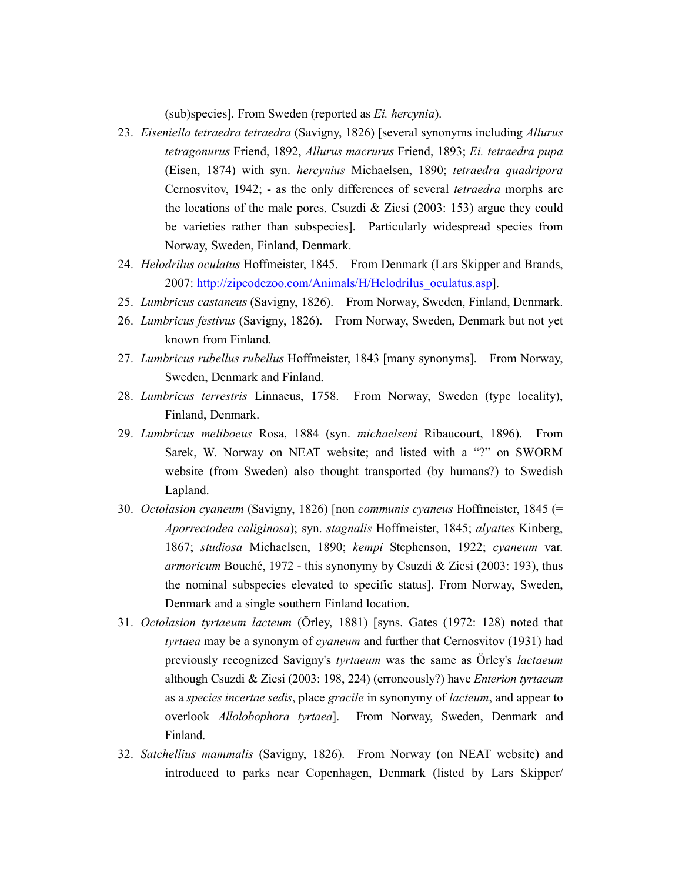(sub)species]. From Sweden (reported as Ei. hercynia).

- 23. Eiseniella tetraedra tetraedra (Savigny, 1826) [several synonyms including Allurus tetragonurus Friend, 1892, Allurus macrurus Friend, 1893; Ei. tetraedra pupa (Eisen, 1874) with syn. hercynius Michaelsen, 1890; tetraedra quadripora Cernosvitov, 1942; - as the only differences of several tetraedra morphs are the locations of the male pores, Csuzdi & Zicsi (2003: 153) argue they could be varieties rather than subspecies]. Particularly widespread species from Norway, Sweden, Finland, Denmark.
- 24. Helodrilus oculatus Hoffmeister, 1845. From Denmark (Lars Skipper and Brands, 2007: http://zipcodezoo.com/Animals/H/Helodrilus\_oculatus.asp].
- 25. Lumbricus castaneus (Savigny, 1826). From Norway, Sweden, Finland, Denmark.
- 26. Lumbricus festivus (Savigny, 1826). From Norway, Sweden, Denmark but not yet known from Finland.
- 27. Lumbricus rubellus rubellus Hoffmeister, 1843 [many synonyms]. From Norway, Sweden, Denmark and Finland.
- 28. Lumbricus terrestris Linnaeus, 1758. From Norway, Sweden (type locality), Finland, Denmark.
- 29. Lumbricus meliboeus Rosa, 1884 (syn. michaelseni Ribaucourt, 1896). From Sarek, W. Norway on NEAT website; and listed with a "?" on SWORM website (from Sweden) also thought transported (by humans?) to Swedish Lapland.
- 30. Octolasion cyaneum (Savigny, 1826) [non communis cyaneus Hoffmeister, 1845 (= Aporrectodea caliginosa); syn. stagnalis Hoffmeister, 1845; alyattes Kinberg, 1867; studiosa Michaelsen, 1890; kempi Stephenson, 1922; cyaneum var. armoricum Bouché, 1972 - this synonymy by Csuzdi & Zicsi (2003: 193), thus the nominal subspecies elevated to specific status]. From Norway, Sweden, Denmark and a single southern Finland location.
- 31. Octolasion tyrtaeum lacteum (Örley, 1881) [syns. Gates (1972: 128) noted that tyrtaea may be a synonym of cyaneum and further that Cernosvitov (1931) had previously recognized Savigny's tyrtaeum was the same as Örley's lactaeum although Csuzdi & Zicsi (2003: 198, 224) (erroneously?) have Enterion tyrtaeum as a species incertae sedis, place gracile in synonymy of lacteum, and appear to overlook Allolobophora tyrtaea]. From Norway, Sweden, Denmark and Finland.
- 32. Satchellius mammalis (Savigny, 1826). From Norway (on NEAT website) and introduced to parks near Copenhagen, Denmark (listed by Lars Skipper/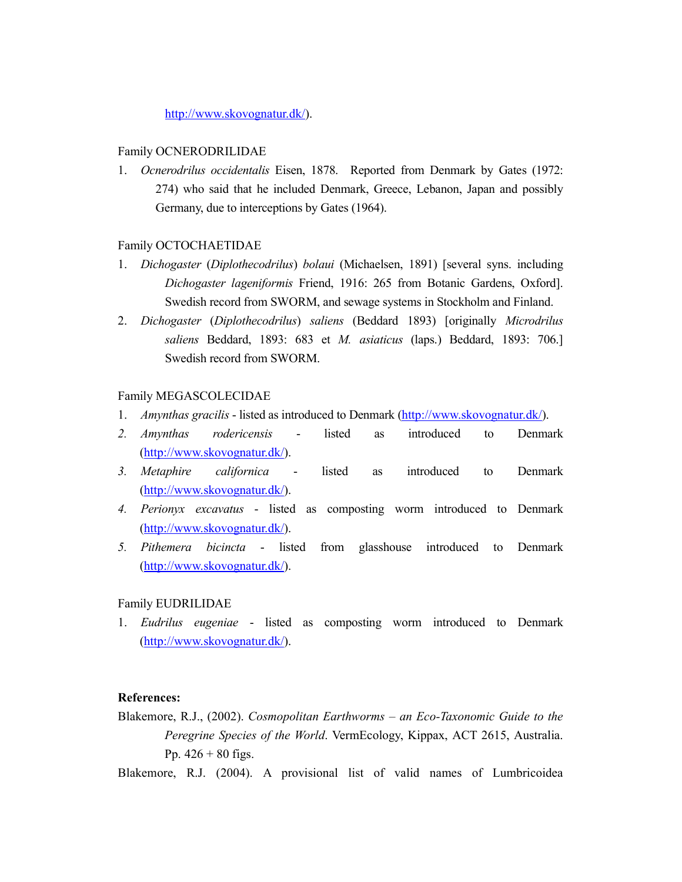http://www.skovognatur.dk/).

### Family OCNERODRILIDAE

1. Ocnerodrilus occidentalis Eisen, 1878. Reported from Denmark by Gates (1972: 274) who said that he included Denmark, Greece, Lebanon, Japan and possibly Germany, due to interceptions by Gates (1964).

## Family OCTOCHAETIDAE

- 1. Dichogaster (Diplothecodrilus) bolaui (Michaelsen, 1891) [several syns. including Dichogaster lageniformis Friend, 1916: 265 from Botanic Gardens, Oxford]. Swedish record from SWORM, and sewage systems in Stockholm and Finland.
- 2. Dichogaster (Diplothecodrilus) saliens (Beddard 1893) [originally Microdrilus saliens Beddard, 1893: 683 et M. asiaticus (laps.) Beddard, 1893: 706.] Swedish record from SWORM.

# Family MEGASCOLECIDAE

- 1. Amynthas gracilis listed as introduced to Denmark (http://www.skovognatur.dk/).
- 2. Amynthas rodericensis listed as introduced to Denmark (http://www.skovognatur.dk/).
- 3. Metaphire californica listed as introduced to Denmark (http://www.skovognatur.dk/).
- 4. Perionyx excavatus listed as composting worm introduced to Denmark (http://www.skovognatur.dk/).
- 5. Pithemera bicincta listed from glasshouse introduced to Denmark (http://www.skovognatur.dk/).

# Family EUDRILIDAE

1. Eudrilus eugeniae - listed as composting worm introduced to Denmark (http://www.skovognatur.dk/).

# References:

- Blakemore, R.J., (2002). Cosmopolitan Earthworms an Eco-Taxonomic Guide to the Peregrine Species of the World. VermEcology, Kippax, ACT 2615, Australia. Pp.  $426 + 80$  figs.
- Blakemore, R.J. (2004). A provisional list of valid names of Lumbricoidea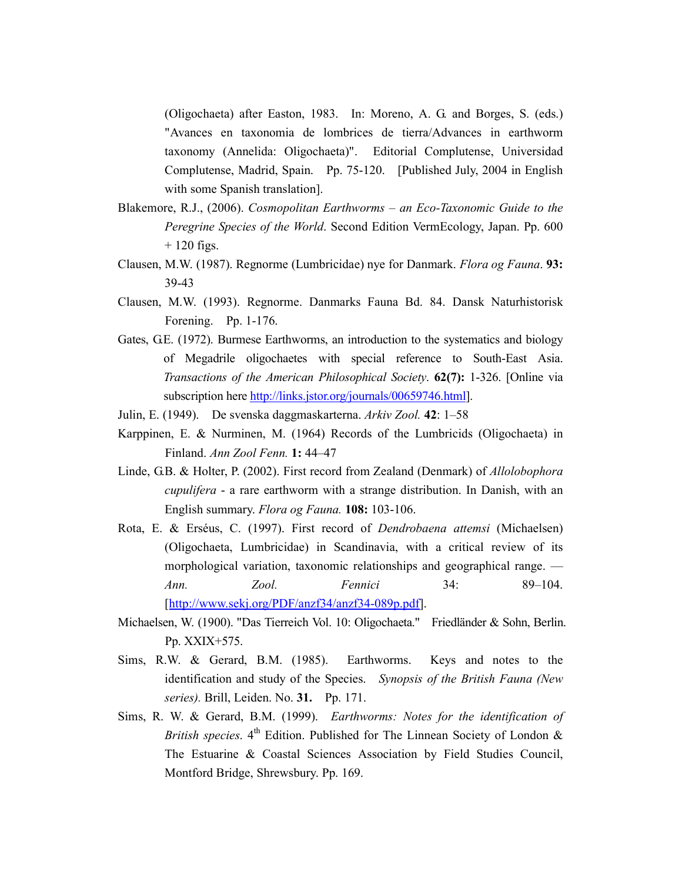(Oligochaeta) after Easton, 1983. In: Moreno, A. G. and Borges, S. (eds.) "Avances en taxonomia de lombrices de tierra/Advances in earthworm taxonomy (Annelida: Oligochaeta)". Editorial Complutense, Universidad Complutense, Madrid, Spain. Pp. 75-120. [Published July, 2004 in English with some Spanish translation].

- Blakemore, R.J., (2006). Cosmopolitan Earthworms an Eco-Taxonomic Guide to the Peregrine Species of the World. Second Edition VermEcology, Japan. Pp. 600  $+ 120$  figs.
- Clausen, M.W. (1987). Regnorme (Lumbricidae) nye for Danmark. Flora og Fauna. 93: 39-43
- Clausen, M.W. (1993). Regnorme. Danmarks Fauna Bd. 84. Dansk Naturhistorisk Forening. Pp. 1-176.
- Gates, G.E. (1972). Burmese Earthworms, an introduction to the systematics and biology of Megadrile oligochaetes with special reference to South-East Asia. Transactions of the American Philosophical Society. 62(7): 1-326. [Online via subscription here http://links.jstor.org/journals/00659746.html].
- Julin, E. (1949). De svenska daggmaskarterna. Arkiv Zool. 42: 1–58
- Karppinen, E. & Nurminen, M. (1964) Records of the Lumbricids (Oligochaeta) in Finland. Ann Zool Fenn. 1: 44–47
- Linde, G.B. & Holter, P. (2002). First record from Zealand (Denmark) of Allolobophora cupulifera - a rare earthworm with a strange distribution. In Danish, with an English summary. Flora og Fauna. 108: 103-106.
- Rota, E. & Erséus, C. (1997). First record of Dendrobaena attemsi (Michaelsen) (Oligochaeta, Lumbricidae) in Scandinavia, with a critical review of its morphological variation, taxonomic relationships and geographical range. — Ann. Zool. Fennici 34: 89–104. [http://www.sekj.org/PDF/anzf34/anzf34-089p.pdf].
- Michaelsen, W. (1900). "Das Tierreich Vol. 10: Oligochaeta." Friedländer & Sohn, Berlin. Pp. XXIX+575.
- Sims, R.W. & Gerard, B.M. (1985). Earthworms. Keys and notes to the identification and study of the Species. Synopsis of the British Fauna (New series). Brill, Leiden. No. 31. Pp. 171.
- Sims, R. W. & Gerard, B.M. (1999). Earthworms: Notes for the identification of British species.  $4<sup>th</sup>$  Edition. Published for The Linnean Society of London & The Estuarine & Coastal Sciences Association by Field Studies Council, Montford Bridge, Shrewsbury. Pp. 169.